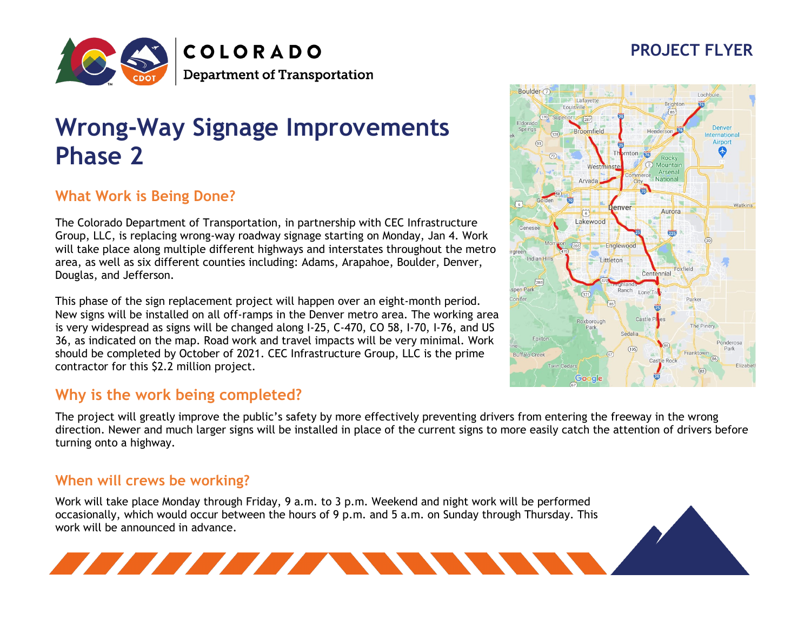# **PROJECT FLYER**



# **Wrong-Way Signage Improvements Phase 2**

## **What Work is Being Done?**

The Colorado Department of Transportation, in partnership with CEC Infrastructure Group, LLC, is replacing wrong-way roadway signage starting on Monday, Jan 4. Work will take place along multiple different highways and interstates throughout the metro area, as well as six different counties including: Adams, Arapahoe, Boulder, Denver, Douglas, and Jefferson.

This phase of the sign replacement project will happen over an eight-month period. New signs will be installed on all off-ramps in the Denver metro area. The working area is very widespread as signs will be changed along I-25, C-470, CO 58, I-70, I-76, and US 36, as indicated on the map. Road work and travel impacts will be very minimal. Work should be completed by October of 2021. CEC Infrastructure Group, LLC is the prime contractor for this \$2.2 million project.

#### **Why is the work being completed?**

<u> The Communication of the Communication of the Communication of the Communication of the Communication of the Communication of the Communication of the Communication of the Communication of the Communication of the Commun</u>

The project will greatly improve the public's safety by more effectively preventing drivers from entering the freeway in the wrong direction. Newer and much larger signs will be installed in place of the current signs to more easily catch the attention of drivers before turning onto a highway.

#### **When will crews be working?**

Work will take place Monday through Friday, 9 a.m. to 3 p.m. Weekend and night work will be performed occasionally, which would occur between the hours of 9 p.m. and 5 a.m. on Sunday through Thursday. This work will be announced in advance.